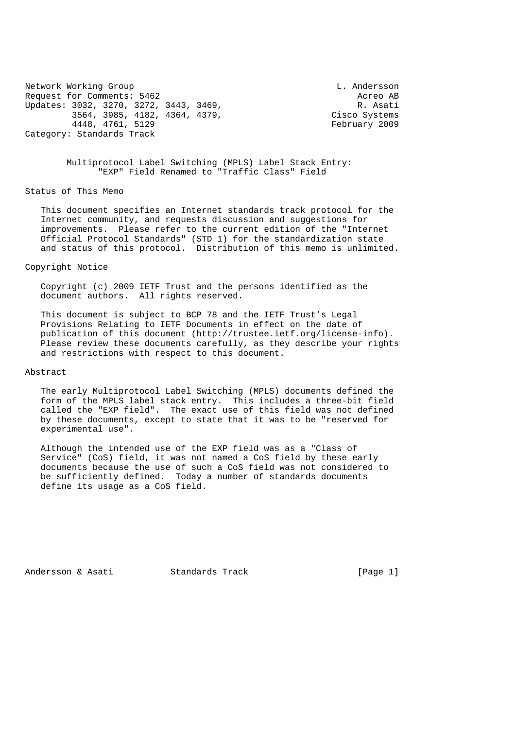Network Working Group Communication Communication Communication Communication Communication Communication Communication Communication Communication Communication Communication Communication Communication Communication Comm Request for Comments: 5462 Acreo AB Updates: 3032, 3270, 3272, 3443, 3469, R. Asati 3564, 3985, 4182, 4364, 4379, Cisco Systems 4448, 4761, 5129 February 2009 Category: Standards Track

 Multiprotocol Label Switching (MPLS) Label Stack Entry: "EXP" Field Renamed to "Traffic Class" Field

Status of This Memo

 This document specifies an Internet standards track protocol for the Internet community, and requests discussion and suggestions for improvements. Please refer to the current edition of the "Internet Official Protocol Standards" (STD 1) for the standardization state and status of this protocol. Distribution of this memo is unlimited.

### Copyright Notice

 Copyright (c) 2009 IETF Trust and the persons identified as the document authors. All rights reserved.

 This document is subject to BCP 78 and the IETF Trust's Legal Provisions Relating to IETF Documents in effect on the date of publication of this document (http://trustee.ietf.org/license-info). Please review these documents carefully, as they describe your rights and restrictions with respect to this document.

### Abstract

 The early Multiprotocol Label Switching (MPLS) documents defined the form of the MPLS label stack entry. This includes a three-bit field called the "EXP field". The exact use of this field was not defined by these documents, except to state that it was to be "reserved for experimental use".

 Although the intended use of the EXP field was as a "Class of Service" (CoS) field, it was not named a CoS field by these early documents because the use of such a CoS field was not considered to be sufficiently defined. Today a number of standards documents define its usage as a CoS field.

Andersson & Asati Standards Track [Page 1]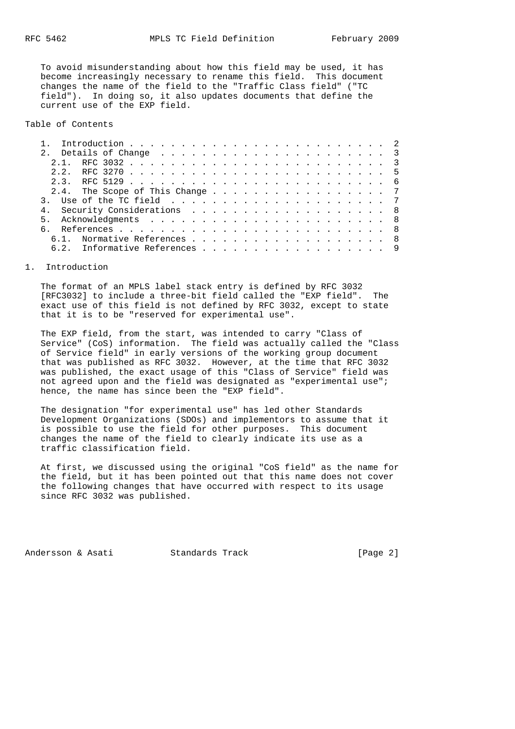To avoid misunderstanding about how this field may be used, it has become increasingly necessary to rename this field. This document changes the name of the field to the "Traffic Class field" ("TC field"). In doing so, it also updates documents that define the current use of the EXP field.

Table of Contents

| 2, 2 |                                 |  |  |  |  |  |  |  |  |  |  |  |  |  |
|------|---------------------------------|--|--|--|--|--|--|--|--|--|--|--|--|--|
|      |                                 |  |  |  |  |  |  |  |  |  |  |  |  |  |
|      | 2.4. The Scope of This Change 7 |  |  |  |  |  |  |  |  |  |  |  |  |  |
|      |                                 |  |  |  |  |  |  |  |  |  |  |  |  |  |
|      | 4. Security Considerations 8    |  |  |  |  |  |  |  |  |  |  |  |  |  |
|      |                                 |  |  |  |  |  |  |  |  |  |  |  |  |  |
|      |                                 |  |  |  |  |  |  |  |  |  |  |  |  |  |
|      | 6.1. Normative References 8     |  |  |  |  |  |  |  |  |  |  |  |  |  |
|      | 6.2. Informative References 9   |  |  |  |  |  |  |  |  |  |  |  |  |  |
|      |                                 |  |  |  |  |  |  |  |  |  |  |  |  |  |

### 1. Introduction

 The format of an MPLS label stack entry is defined by RFC 3032 [RFC3032] to include a three-bit field called the "EXP field". The exact use of this field is not defined by RFC 3032, except to state that it is to be "reserved for experimental use".

 The EXP field, from the start, was intended to carry "Class of Service" (CoS) information. The field was actually called the "Class of Service field" in early versions of the working group document that was published as RFC 3032. However, at the time that RFC 3032 was published, the exact usage of this "Class of Service" field was not agreed upon and the field was designated as "experimental use"; hence, the name has since been the "EXP field".

 The designation "for experimental use" has led other Standards Development Organizations (SDOs) and implementors to assume that it is possible to use the field for other purposes. This document changes the name of the field to clearly indicate its use as a traffic classification field.

 At first, we discussed using the original "CoS field" as the name for the field, but it has been pointed out that this name does not cover the following changes that have occurred with respect to its usage since RFC 3032 was published.

Andersson & Asati Standards Track [Page 2]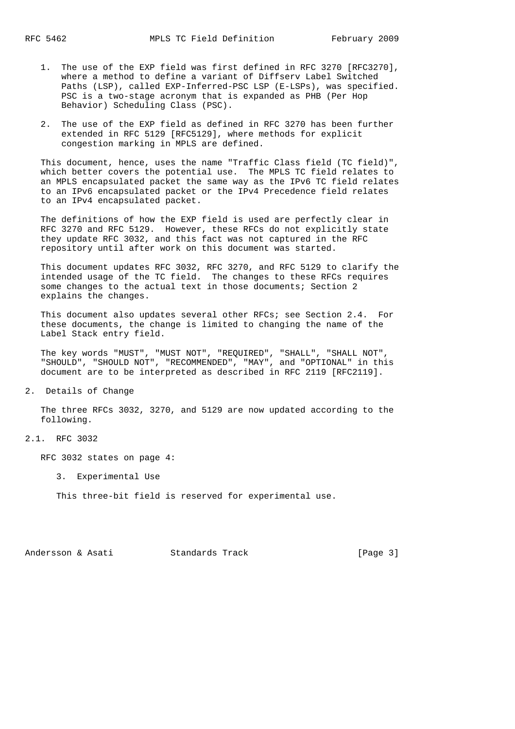- 1. The use of the EXP field was first defined in RFC 3270 [RFC3270], where a method to define a variant of Diffserv Label Switched Paths (LSP), called EXP-Inferred-PSC LSP (E-LSPs), was specified. PSC is a two-stage acronym that is expanded as PHB (Per Hop Behavior) Scheduling Class (PSC).
- 2. The use of the EXP field as defined in RFC 3270 has been further extended in RFC 5129 [RFC5129], where methods for explicit congestion marking in MPLS are defined.

 This document, hence, uses the name "Traffic Class field (TC field)", which better covers the potential use. The MPLS TC field relates to an MPLS encapsulated packet the same way as the IPv6 TC field relates to an IPv6 encapsulated packet or the IPv4 Precedence field relates to an IPv4 encapsulated packet.

 The definitions of how the EXP field is used are perfectly clear in RFC 3270 and RFC 5129. However, these RFCs do not explicitly state they update RFC 3032, and this fact was not captured in the RFC repository until after work on this document was started.

 This document updates RFC 3032, RFC 3270, and RFC 5129 to clarify the intended usage of the TC field. The changes to these RFCs requires some changes to the actual text in those documents; Section 2 explains the changes.

 This document also updates several other RFCs; see Section 2.4. For these documents, the change is limited to changing the name of the Label Stack entry field.

 The key words "MUST", "MUST NOT", "REQUIRED", "SHALL", "SHALL NOT", "SHOULD", "SHOULD NOT", "RECOMMENDED", "MAY", and "OPTIONAL" in this document are to be interpreted as described in RFC 2119 [RFC2119].

2. Details of Change

 The three RFCs 3032, 3270, and 5129 are now updated according to the following.

### 2.1. RFC 3032

RFC 3032 states on page 4:

3. Experimental Use

This three-bit field is reserved for experimental use.

Andersson & Asati Standards Track [Page 3]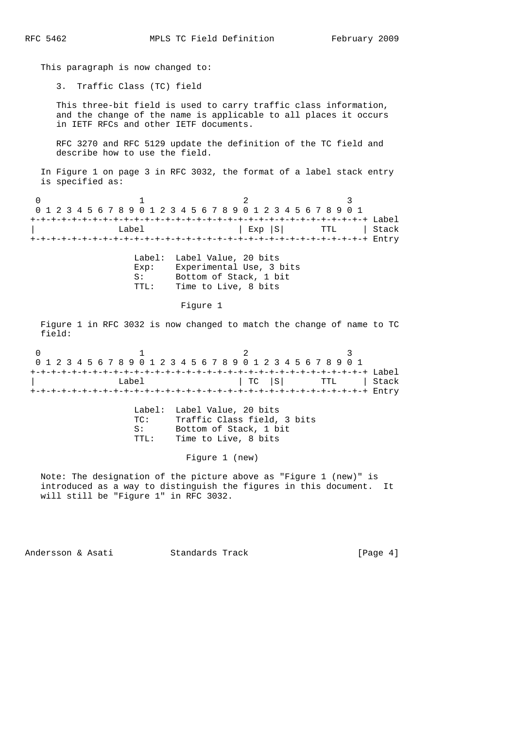This paragraph is now changed to:

3. Traffic Class (TC) field

 This three-bit field is used to carry traffic class information, and the change of the name is applicable to all places it occurs in IETF RFCs and other IETF documents.

 RFC 3270 and RFC 5129 update the definition of the TC field and describe how to use the field.

 In Figure 1 on page 3 in RFC 3032, the format of a label stack entry is specified as:

0  $1$  2 3 0 1 2 3 4 5 6 7 8 9 0 1 2 3 4 5 6 7 8 9 0 1 2 3 4 5 6 7 8 9 0 1 +-+-+-+-+-+-+-+-+-+-+-+-+-+-+-+-+-+-+-+-+-+-+-+-+-+-+-+-+-+-+-+-+ Label | Label | Exp |S| TTL | Stack +-+-+-+-+-+-+-+-+-+-+-+-+-+-+-+-+-+-+-+-+-+-+-+-+-+-+-+-+-+-+-+-+ Entry

|       | Label: Label Value, 20 bits |
|-------|-----------------------------|
| Exp:  | Experimental Use, 3 bits    |
| S:    | Bottom of Stack, 1 bit      |
| TTT.: | Time to Live, 8 bits        |

### Figure 1

 Figure 1 in RFC 3032 is now changed to match the change of name to TC field:

|  |  |  |  |  |       |  | 0 1 2 3 4 5 6 7 8 9 0 1 2 3 4 5 6 7 8 9 0 1 2 3 4 5 6 7 8 9 0 1 |  |  |  |  |  |  |  |  |  |                      |
|--|--|--|--|--|-------|--|-----------------------------------------------------------------|--|--|--|--|--|--|--|--|--|----------------------|
|  |  |  |  |  |       |  |                                                                 |  |  |  |  |  |  |  |  |  |                      |
|  |  |  |  |  | Label |  |                                                                 |  |  |  |  |  |  |  |  |  | TC   S   TTL   Stack |
|  |  |  |  |  |       |  |                                                                 |  |  |  |  |  |  |  |  |  |                      |

|                | Label: Label Value, 20 bits |
|----------------|-----------------------------|
| <u> ጥጦ : -</u> | Traffic Class field, 3 bits |
| S:             | Bottom of Stack, 1 bit      |
| TTT.:          | Time to Live, 8 bits        |

Figure 1 (new)

 Note: The designation of the picture above as "Figure 1 (new)" is introduced as a way to distinguish the figures in this document. It will still be "Figure 1" in RFC 3032.

Andersson & Asati Standards Track [Page 4]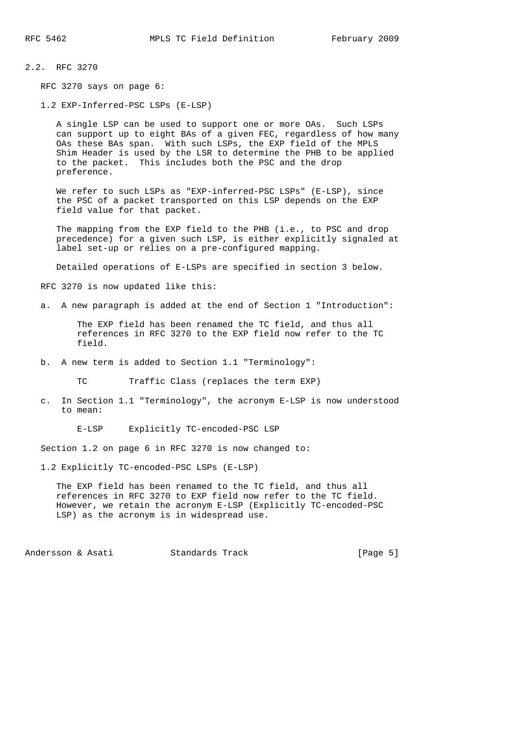## 2.2. RFC 3270

RFC 3270 says on page 6:

1.2 EXP-Inferred-PSC LSPs (E-LSP)

 A single LSP can be used to support one or more OAs. Such LSPs can support up to eight BAs of a given FEC, regardless of how many OAs these BAs span. With such LSPs, the EXP field of the MPLS Shim Header is used by the LSR to determine the PHB to be applied to the packet. This includes both the PSC and the drop preference.

We refer to such LSPs as "EXP-inferred-PSC LSPs" (E-LSP), since the PSC of a packet transported on this LSP depends on the EXP field value for that packet.

 The mapping from the EXP field to the PHB (i.e., to PSC and drop precedence) for a given such LSP, is either explicitly signaled at label set-up or relies on a pre-configured mapping.

Detailed operations of E-LSPs are specified in section 3 below.

RFC 3270 is now updated like this:

a. A new paragraph is added at the end of Section 1 "Introduction":

 The EXP field has been renamed the TC field, and thus all references in RFC 3270 to the EXP field now refer to the TC field.

b. A new term is added to Section 1.1 "Terminology":

Traffic Class (replaces the term EXP)

 c. In Section 1.1 "Terminology", the acronym E-LSP is now understood to mean:

E-LSP Explicitly TC-encoded-PSC LSP

Section 1.2 on page 6 in RFC 3270 is now changed to:

1.2 Explicitly TC-encoded-PSC LSPs (E-LSP)

 The EXP field has been renamed to the TC field, and thus all references in RFC 3270 to EXP field now refer to the TC field. However, we retain the acronym E-LSP (Explicitly TC-encoded-PSC LSP) as the acronym is in widespread use.

Andersson & Asati Standards Track [Page 5]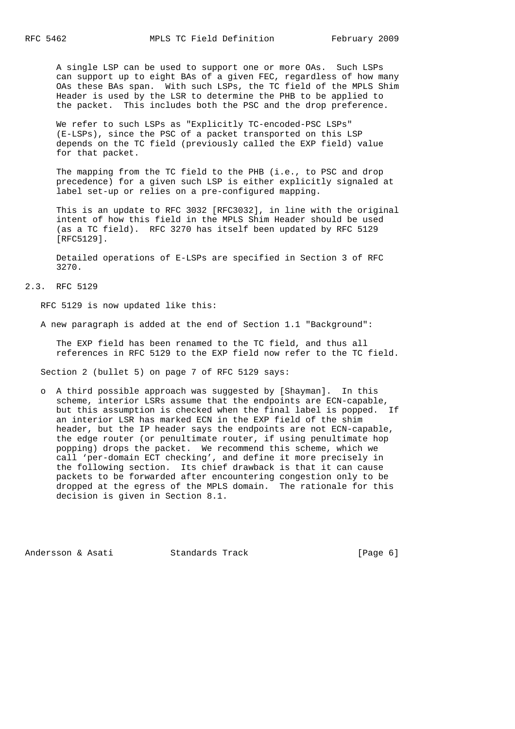A single LSP can be used to support one or more OAs. Such LSPs can support up to eight BAs of a given FEC, regardless of how many OAs these BAs span. With such LSPs, the TC field of the MPLS Shim Header is used by the LSR to determine the PHB to be applied to the packet. This includes both the PSC and the drop preference.

 We refer to such LSPs as "Explicitly TC-encoded-PSC LSPs" (E-LSPs), since the PSC of a packet transported on this LSP depends on the TC field (previously called the EXP field) value for that packet.

 The mapping from the TC field to the PHB (i.e., to PSC and drop precedence) for a given such LSP is either explicitly signaled at label set-up or relies on a pre-configured mapping.

 This is an update to RFC 3032 [RFC3032], in line with the original intent of how this field in the MPLS Shim Header should be used (as a TC field). RFC 3270 has itself been updated by RFC 5129 [RFC5129].

 Detailed operations of E-LSPs are specified in Section 3 of RFC 3270.

# 2.3. RFC 5129

RFC 5129 is now updated like this:

A new paragraph is added at the end of Section 1.1 "Background":

 The EXP field has been renamed to the TC field, and thus all references in RFC 5129 to the EXP field now refer to the TC field.

Section 2 (bullet 5) on page 7 of RFC 5129 says:

 o A third possible approach was suggested by [Shayman]. In this scheme, interior LSRs assume that the endpoints are ECN-capable, but this assumption is checked when the final label is popped. If an interior LSR has marked ECN in the EXP field of the shim header, but the IP header says the endpoints are not ECN-capable, the edge router (or penultimate router, if using penultimate hop popping) drops the packet. We recommend this scheme, which we call 'per-domain ECT checking', and define it more precisely in the following section. Its chief drawback is that it can cause packets to be forwarded after encountering congestion only to be dropped at the egress of the MPLS domain. The rationale for this decision is given in Section 8.1.

Andersson & Asati Standards Track [Page 6]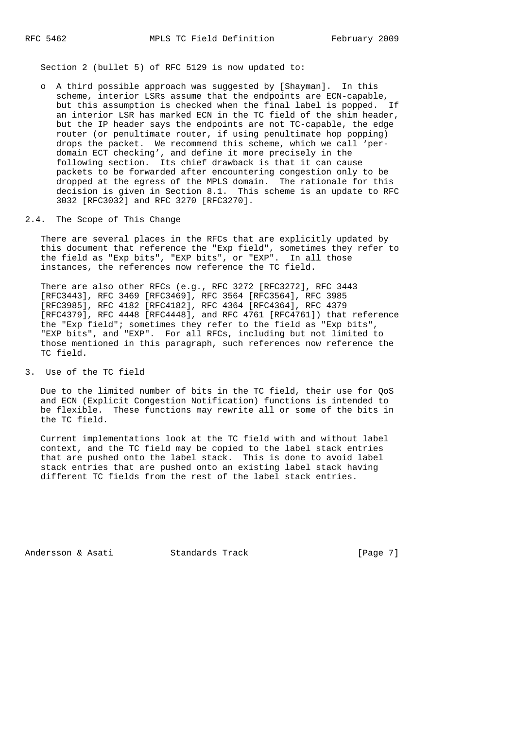Section 2 (bullet 5) of RFC 5129 is now updated to:

 o A third possible approach was suggested by [Shayman]. In this scheme, interior LSRs assume that the endpoints are ECN-capable, but this assumption is checked when the final label is popped. If an interior LSR has marked ECN in the TC field of the shim header, but the IP header says the endpoints are not TC-capable, the edge router (or penultimate router, if using penultimate hop popping) drops the packet. We recommend this scheme, which we call 'per domain ECT checking', and define it more precisely in the following section. Its chief drawback is that it can cause packets to be forwarded after encountering congestion only to be dropped at the egress of the MPLS domain. The rationale for this decision is given in Section 8.1. This scheme is an update to RFC 3032 [RFC3032] and RFC 3270 [RFC3270].

## 2.4. The Scope of This Change

 There are several places in the RFCs that are explicitly updated by this document that reference the "Exp field", sometimes they refer to the field as "Exp bits", "EXP bits", or "EXP". In all those instances, the references now reference the TC field.

 There are also other RFCs (e.g., RFC 3272 [RFC3272], RFC 3443 [RFC3443], RFC 3469 [RFC3469], RFC 3564 [RFC3564], RFC 3985 [RFC3985], RFC 4182 [RFC4182], RFC 4364 [RFC4364], RFC 4379 [RFC4379], RFC 4448 [RFC4448], and RFC 4761 [RFC4761]) that reference the "Exp field"; sometimes they refer to the field as "Exp bits", "EXP bits", and "EXP". For all RFCs, including but not limited to those mentioned in this paragraph, such references now reference the TC field.

## 3. Use of the TC field

 Due to the limited number of bits in the TC field, their use for QoS and ECN (Explicit Congestion Notification) functions is intended to be flexible. These functions may rewrite all or some of the bits in the TC field.

 Current implementations look at the TC field with and without label context, and the TC field may be copied to the label stack entries that are pushed onto the label stack. This is done to avoid label stack entries that are pushed onto an existing label stack having different TC fields from the rest of the label stack entries.

Andersson & Asati Standards Track [Page 7]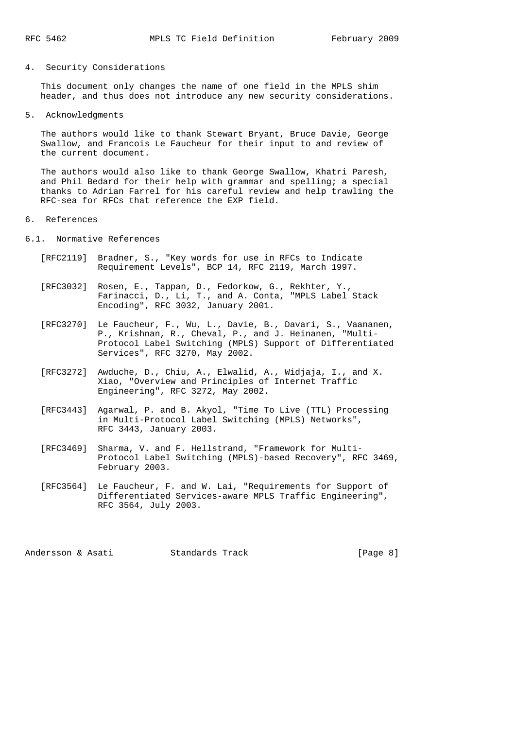## 4. Security Considerations

 This document only changes the name of one field in the MPLS shim header, and thus does not introduce any new security considerations.

5. Acknowledgments

 The authors would like to thank Stewart Bryant, Bruce Davie, George Swallow, and Francois Le Faucheur for their input to and review of the current document.

 The authors would also like to thank George Swallow, Khatri Paresh, and Phil Bedard for their help with grammar and spelling; a special thanks to Adrian Farrel for his careful review and help trawling the RFC-sea for RFCs that reference the EXP field.

#### 6. References

6.1. Normative References

- [RFC2119] Bradner, S., "Key words for use in RFCs to Indicate Requirement Levels", BCP 14, RFC 2119, March 1997.
- [RFC3032] Rosen, E., Tappan, D., Fedorkow, G., Rekhter, Y., Farinacci, D., Li, T., and A. Conta, "MPLS Label Stack Encoding", RFC 3032, January 2001.
- [RFC3270] Le Faucheur, F., Wu, L., Davie, B., Davari, S., Vaananen, P., Krishnan, R., Cheval, P., and J. Heinanen, "Multi- Protocol Label Switching (MPLS) Support of Differentiated Services", RFC 3270, May 2002.
- [RFC3272] Awduche, D., Chiu, A., Elwalid, A., Widjaja, I., and X. Xiao, "Overview and Principles of Internet Traffic Engineering", RFC 3272, May 2002.
- [RFC3443] Agarwal, P. and B. Akyol, "Time To Live (TTL) Processing in Multi-Protocol Label Switching (MPLS) Networks", RFC 3443, January 2003.
- [RFC3469] Sharma, V. and F. Hellstrand, "Framework for Multi- Protocol Label Switching (MPLS)-based Recovery", RFC 3469, February 2003.
- [RFC3564] Le Faucheur, F. and W. Lai, "Requirements for Support of Differentiated Services-aware MPLS Traffic Engineering", RFC 3564, July 2003.

Andersson & Asati Standards Track [Page 8]